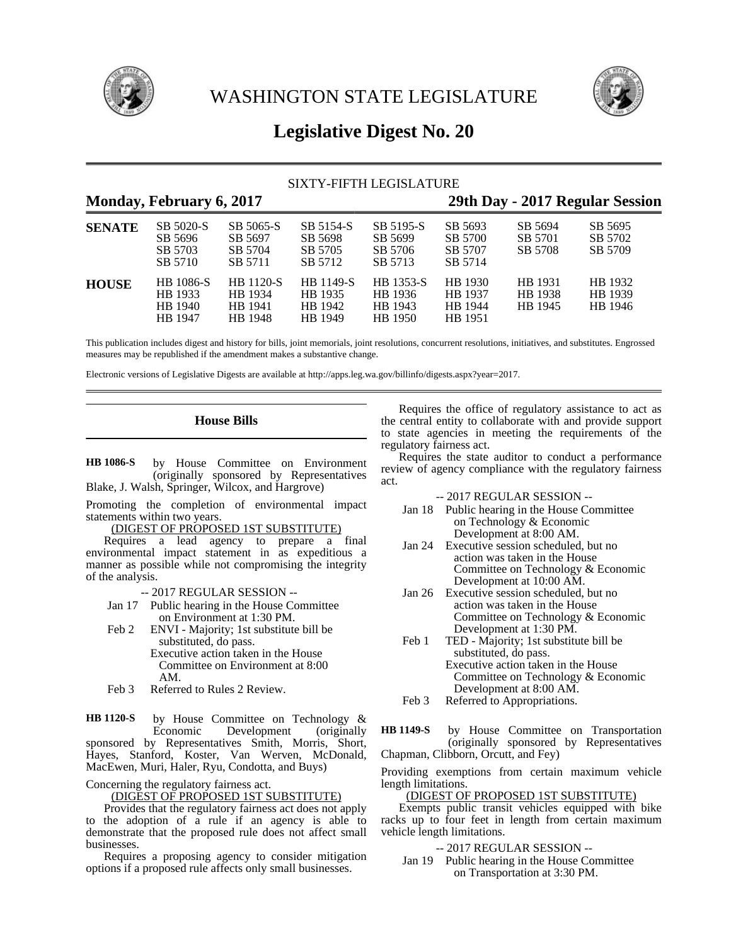

WASHINGTON STATE LEGISLATURE



# **Legislative Digest No. 20**

# SIXTY-FIFTH LEGISLATURE

# **Monday, February 6, 2017 29th Day - 2017 Regular Session**

| <b>SENATE</b> | SB 5020-S<br>SB 5696<br>SB 5703<br>SB 5710        | SB 5065-S<br>SB 5697<br>SB 5704<br>SB 5711 | SB 5154-S<br>SB 5698<br>SB 5705<br>SB 5712 | SB 5195-S<br>SB 5699<br>SB 5706<br>SB 5713 | SB 5693<br>SB 5700<br>SB 5707<br>SB 5714 | SB 5694<br>SB 5701<br>SB 5708 | SB 5695<br>SB 5702<br>SB 5709 |
|---------------|---------------------------------------------------|--------------------------------------------|--------------------------------------------|--------------------------------------------|------------------------------------------|-------------------------------|-------------------------------|
| <b>HOUSE</b>  | <b>HB</b> 1086-S<br>HB 1933<br>HB 1940<br>HB 1947 | HB 1120-S<br>HB 1934<br>HB 1941<br>HB 1948 | HB 1149-S<br>HB 1935<br>HB 1942<br>HB 1949 | HB 1353-S<br>HB 1936<br>HB 1943<br>HB 1950 | HB 1930<br>HB 1937<br>HB 1944<br>HB 1951 | HB 1931<br>HB 1938<br>HB 1945 | HB 1932<br>HB 1939<br>HB 1946 |

This publication includes digest and history for bills, joint memorials, joint resolutions, concurrent resolutions, initiatives, and substitutes. Engrossed measures may be republished if the amendment makes a substantive change.

Electronic versions of Legislative Digests are available at http://apps.leg.wa.gov/billinfo/digests.aspx?year=2017.

**House Bills**

by House Committee on Environment (originally sponsored by Representatives Blake, J. Walsh, Springer, Wilcox, and Hargrove) **HB 1086-S**

Promoting the completion of environmental impact statements within two years.

(DIGEST OF PROPOSED 1ST SUBSTITUTE)

Requires a lead agency to prepare a final environmental impact statement in as expeditious a manner as possible while not compromising the integrity of the analysis.

-- 2017 REGULAR SESSION --

- Jan 17 Public hearing in the House Committee on Environment at 1:30 PM.
- Feb 2 ENVI Majority; 1st substitute bill be substituted, do pass. Executive action taken in the House Committee on Environment at 8:00 AM.
- Feb 3 Referred to Rules 2 Review.

by House Committee on Technology & Economic Development (originally sponsored by Representatives Smith, Morris, Short, Hayes, Stanford, Koster, Van Werven, McDonald, MacEwen, Muri, Haler, Ryu, Condotta, and Buys) **HB 1120-S**

Concerning the regulatory fairness act.

(DIGEST OF PROPOSED 1ST SUBSTITUTE)

Provides that the regulatory fairness act does not apply to the adoption of a rule if an agency is able to demonstrate that the proposed rule does not affect small businesses.

Requires a proposing agency to consider mitigation options if a proposed rule affects only small businesses.

Requires the office of regulatory assistance to act as the central entity to collaborate with and provide support to state agencies in meeting the requirements of the regulatory fairness act.

Requires the state auditor to conduct a performance review of agency compliance with the regulatory fairness act.

-- 2017 REGULAR SESSION --

- Jan 18 Public hearing in the House Committee on Technology & Economic Development at 8:00 AM.
- Jan 24 Executive session scheduled, but no action was taken in the House Committee on Technology & Economic Development at 10:00 AM.
- Jan 26 Executive session scheduled, but no action was taken in the House Committee on Technology & Economic Development at 1:30 PM.
- Feb 1 TED Majority; 1st substitute bill be substituted, do pass. Executive action taken in the House Committee on Technology & Economic Development at 8:00 AM.
- Feb 3 Referred to Appropriations.

by House Committee on Transportation (originally sponsored by Representatives Chapman, Clibborn, Orcutt, and Fey) **HB 1149-S**

Providing exemptions from certain maximum vehicle length limitations.

(DIGEST OF PROPOSED 1ST SUBSTITUTE)

Exempts public transit vehicles equipped with bike racks up to four feet in length from certain maximum vehicle length limitations.

# -- 2017 REGULAR SESSION --

Jan 19 Public hearing in the House Committee on Transportation at 3:30 PM.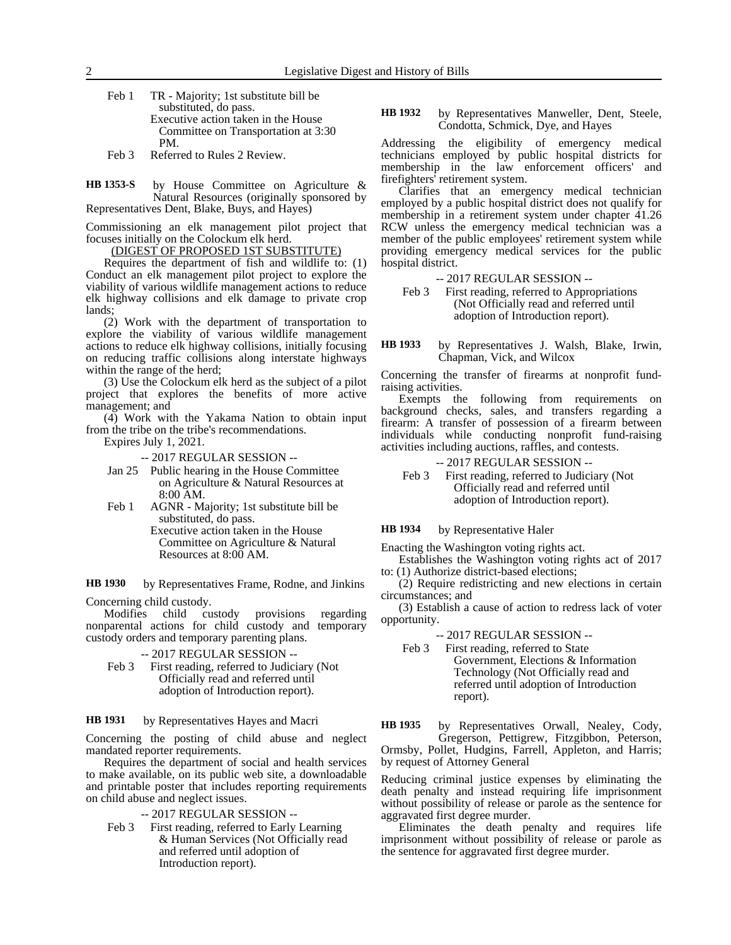Feb 1 TR - Majority; 1st substitute bill be substituted, do pass. Executive action taken in the House Committee on Transportation at 3:30 PM.

Feb 3 Referred to Rules 2 Review.

by House Committee on Agriculture & Natural Resources (originally sponsored by Representatives Dent, Blake, Buys, and Hayes) **HB 1353-S**

Commissioning an elk management pilot project that focuses initially on the Colockum elk herd.

(DIGEST OF PROPOSED 1ST SUBSTITUTE)

Requires the department of fish and wildlife to: (1) Conduct an elk management pilot project to explore the viability of various wildlife management actions to reduce elk highway collisions and elk damage to private crop lands;

(2) Work with the department of transportation to explore the viability of various wildlife management actions to reduce elk highway collisions, initially focusing on reducing traffic collisions along interstate highways within the range of the herd;

(3) Use the Colockum elk herd as the subject of a pilot project that explores the benefits of more active management; and

(4) Work with the Yakama Nation to obtain input from the tribe on the tribe's recommendations.

Expires July 1, 2021.

-- 2017 REGULAR SESSION --

- Jan 25 Public hearing in the House Committee on Agriculture & Natural Resources at 8:00 AM.
- Feb 1 AGNR Majority; 1st substitute bill be substituted, do pass.

Executive action taken in the House Committee on Agriculture & Natural Resources at 8:00 AM.

by Representatives Frame, Rodne, and Jinkins **HB 1930**

Concerning child custody.

Modifies child custody provisions regarding nonparental actions for child custody and temporary custody orders and temporary parenting plans.

-- 2017 REGULAR SESSION --

Feb 3 First reading, referred to Judiciary (Not Officially read and referred until adoption of Introduction report).

#### by Representatives Hayes and Macri **HB 1931**

Concerning the posting of child abuse and neglect mandated reporter requirements.

Requires the department of social and health services to make available, on its public web site, a downloadable and printable poster that includes reporting requirements on child abuse and neglect issues.

-- 2017 REGULAR SESSION --

Feb 3 First reading, referred to Early Learning & Human Services (Not Officially read and referred until adoption of Introduction report).

by Representatives Manweller, Dent, Steele, Condotta, Schmick, Dye, and Hayes **HB 1932**

Addressing the eligibility of emergency medical technicians employed by public hospital districts for membership in the law enforcement officers' and firefighters' retirement system.

Clarifies that an emergency medical technician employed by a public hospital district does not qualify for membership in a retirement system under chapter 41.26 RCW unless the emergency medical technician was a member of the public employees' retirement system while providing emergency medical services for the public hospital district.

-- 2017 REGULAR SESSION --

Feb 3 First reading, referred to Appropriations (Not Officially read and referred until adoption of Introduction report).

by Representatives J. Walsh, Blake, Irwin, Chapman, Vick, and Wilcox **HB 1933**

Concerning the transfer of firearms at nonprofit fundraising activities.

Exempts the following from requirements on background checks, sales, and transfers regarding a firearm: A transfer of possession of a firearm between individuals while conducting nonprofit fund-raising activities including auctions, raffles, and contests.

- -- 2017 REGULAR SESSION --
- Feb 3 First reading, referred to Judiciary (Not Officially read and referred until adoption of Introduction report).

#### by Representative Haler **HB 1934**

opportunity.

Enacting the Washington voting rights act. Establishes the Washington voting rights act of 2017

to: (1) Authorize district-based elections; (2) Require redistricting and new elections in certain

circumstances; and (3) Establish a cause of action to redress lack of voter

-- 2017 REGULAR SESSION --

Feb 3 First reading, referred to State Government, Elections & Information Technology (Not Officially read and referred until adoption of Introduction report).

by Representatives Orwall, Nealey, Cody, Gregerson, Pettigrew, Fitzgibbon, Peterson, Ormsby, Pollet, Hudgins, Farrell, Appleton, and Harris; by request of Attorney General **HB 1935**

Reducing criminal justice expenses by eliminating the death penalty and instead requiring life imprisonment without possibility of release or parole as the sentence for aggravated first degree murder.

Eliminates the death penalty and requires life imprisonment without possibility of release or parole as the sentence for aggravated first degree murder.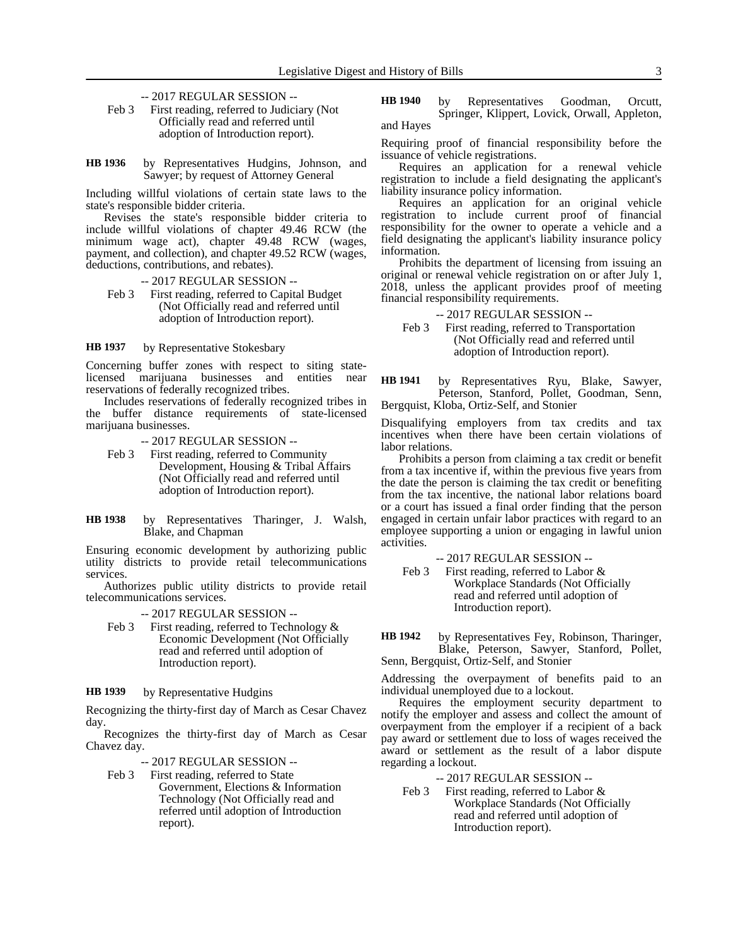- -- 2017 REGULAR SESSION --
- Feb 3 First reading, referred to Judiciary (Not Officially read and referred until adoption of Introduction report).
- by Representatives Hudgins, Johnson, and Sawyer; by request of Attorney General **HB 1936**

Including willful violations of certain state laws to the state's responsible bidder criteria.

Revises the state's responsible bidder criteria to include willful violations of chapter 49.46 RCW (the minimum wage act), chapter 49.48 RCW (wages, payment, and collection), and chapter 49.52 RCW (wages, deductions, contributions, and rebates).

- -- 2017 REGULAR SESSION --
- Feb 3 First reading, referred to Capital Budget (Not Officially read and referred until adoption of Introduction report).

by Representative Stokesbary **HB 1937**

Concerning buffer zones with respect to siting state-<br>licensed marijuana businesses and entities near licensed marijuana businesses and entities near reservations of federally recognized tribes.

Includes reservations of federally recognized tribes in the buffer distance requirements of state-licensed marijuana businesses.

-- 2017 REGULAR SESSION --

- Feb 3 First reading, referred to Community Development, Housing & Tribal Affairs (Not Officially read and referred until adoption of Introduction report).
- by Representatives Tharinger, J. Walsh, Blake, and Chapman **HB 1938**

Ensuring economic development by authorizing public utility districts to provide retail telecommunications services.

Authorizes public utility districts to provide retail telecommunications services.

-- 2017 REGULAR SESSION --

Feb 3 First reading, referred to Technology & Economic Development (Not Officially read and referred until adoption of Introduction report).

by Representative Hudgins **HB 1939**

Recognizing the thirty-first day of March as Cesar Chavez day.

Recognizes the thirty-first day of March as Cesar Chavez day.

-- 2017 REGULAR SESSION --

Feb 3 First reading, referred to State Government, Elections & Information Technology (Not Officially read and referred until adoption of Introduction report).

by Representatives Goodman, Orcutt, Springer, Klippert, Lovick, Orwall, Appleton, and Hayes **HB 1940**

Requiring proof of financial responsibility before the issuance of vehicle registrations.

Requires an application for a renewal vehicle registration to include a field designating the applicant's liability insurance policy information.

Requires an application for an original vehicle registration to include current proof of financial responsibility for the owner to operate a vehicle and a field designating the applicant's liability insurance policy information.

Prohibits the department of licensing from issuing an original or renewal vehicle registration on or after July 1, 2018, unless the applicant provides proof of meeting financial responsibility requirements.

-- 2017 REGULAR SESSION --

- Feb 3 First reading, referred to Transportation (Not Officially read and referred until adoption of Introduction report).
- by Representatives Ryu, Blake, Sawyer, Peterson, Stanford, Pollet, Goodman, Senn, Bergquist, Kloba, Ortiz-Self, and Stonier **HB 1941**

Disqualifying employers from tax credits and tax incentives when there have been certain violations of labor relations.

Prohibits a person from claiming a tax credit or benefit from a tax incentive if, within the previous five years from the date the person is claiming the tax credit or benefiting from the tax incentive, the national labor relations board or a court has issued a final order finding that the person engaged in certain unfair labor practices with regard to an employee supporting a union or engaging in lawful union activities.

-- 2017 REGULAR SESSION --

Feb 3 First reading, referred to Labor & Workplace Standards (Not Officially read and referred until adoption of Introduction report).

by Representatives Fey, Robinson, Tharinger, Blake, Peterson, Sawyer, Stanford, Pollet, Senn, Bergquist, Ortiz-Self, and Stonier **HB 1942**

Addressing the overpayment of benefits paid to an individual unemployed due to a lockout.

Requires the employment security department to notify the employer and assess and collect the amount of overpayment from the employer if a recipient of a back pay award or settlement due to loss of wages received the award or settlement as the result of a labor dispute regarding a lockout.

-- 2017 REGULAR SESSION --

Feb 3 First reading, referred to Labor & Workplace Standards (Not Officially read and referred until adoption of Introduction report).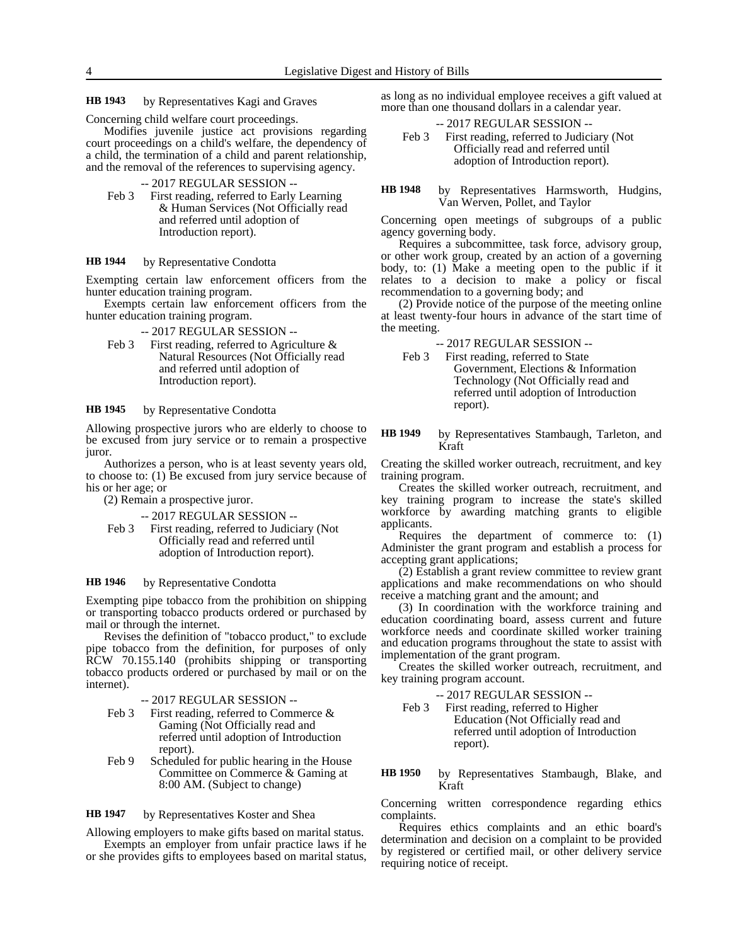by Representatives Kagi and Graves **HB 1943**

Concerning child welfare court proceedings.

Modifies juvenile justice act provisions regarding court proceedings on a child's welfare, the dependency of a child, the termination of a child and parent relationship, and the removal of the references to supervising agency.

-- 2017 REGULAR SESSION --

Feb 3 First reading, referred to Early Learning & Human Services (Not Officially read and referred until adoption of Introduction report).

#### by Representative Condotta **HB 1944**

Exempting certain law enforcement officers from the hunter education training program.

Exempts certain law enforcement officers from the hunter education training program.

-- 2017 REGULAR SESSION --

Feb 3 First reading, referred to Agriculture  $\&$ Natural Resources (Not Officially read and referred until adoption of Introduction report).

#### by Representative Condotta **HB 1945**

Allowing prospective jurors who are elderly to choose to be excused from jury service or to remain a prospective juror.

Authorizes a person, who is at least seventy years old, to choose to: (1) Be excused from jury service because of his or her age; or

(2) Remain a prospective juror.

-- 2017 REGULAR SESSION --

Feb 3 First reading, referred to Judiciary (Not Officially read and referred until adoption of Introduction report).

#### by Representative Condotta **HB 1946**

Exempting pipe tobacco from the prohibition on shipping or transporting tobacco products ordered or purchased by mail or through the internet.

Revises the definition of "tobacco product," to exclude pipe tobacco from the definition, for purposes of only RCW 70.155.140 (prohibits shipping or transporting tobacco products ordered or purchased by mail or on the internet).

- -- 2017 REGULAR SESSION --
- Feb 3 First reading, referred to Commerce & Gaming (Not Officially read and referred until adoption of Introduction report).
- Feb 9 Scheduled for public hearing in the House Committee on Commerce & Gaming at 8:00 AM. (Subject to change)

by Representatives Koster and Shea **HB 1947**

Allowing employers to make gifts based on marital status.

Exempts an employer from unfair practice laws if he or she provides gifts to employees based on marital status,

as long as no individual employee receives a gift valued at more than one thousand dollars in a calendar year.

- -- 2017 REGULAR SESSION --
- Feb 3 First reading, referred to Judiciary (Not Officially read and referred until adoption of Introduction report).

by Representatives Harmsworth, Hudgins, Van Werven, Pollet, and Taylor **HB 1948**

Concerning open meetings of subgroups of a public agency governing body.

Requires a subcommittee, task force, advisory group, or other work group, created by an action of a governing body, to: (1) Make a meeting open to the public if it relates to a decision to make a policy or fiscal recommendation to a governing body; and

(2) Provide notice of the purpose of the meeting online at least twenty-four hours in advance of the start time of the meeting.

-- 2017 REGULAR SESSION --

- Feb 3 First reading, referred to State Government, Elections & Information Technology (Not Officially read and referred until adoption of Introduction report).
- by Representatives Stambaugh, Tarleton, and Kraft **HB 1949**

Creating the skilled worker outreach, recruitment, and key training program.

Creates the skilled worker outreach, recruitment, and key training program to increase the state's skilled workforce by awarding matching grants to eligible applicants.

Requires the department of commerce to: (1) Administer the grant program and establish a process for accepting grant applications;

(2) Establish a grant review committee to review grant applications and make recommendations on who should receive a matching grant and the amount; and

(3) In coordination with the workforce training and education coordinating board, assess current and future workforce needs and coordinate skilled worker training and education programs throughout the state to assist with implementation of the grant program.

Creates the skilled worker outreach, recruitment, and key training program account.

-- 2017 REGULAR SESSION --

- Feb 3 First reading, referred to Higher Education (Not Officially read and referred until adoption of Introduction report).
- by Representatives Stambaugh, Blake, and Kraft **HB 1950**

Concerning written correspondence regarding ethics complaints.

Requires ethics complaints and an ethic board's determination and decision on a complaint to be provided by registered or certified mail, or other delivery service requiring notice of receipt.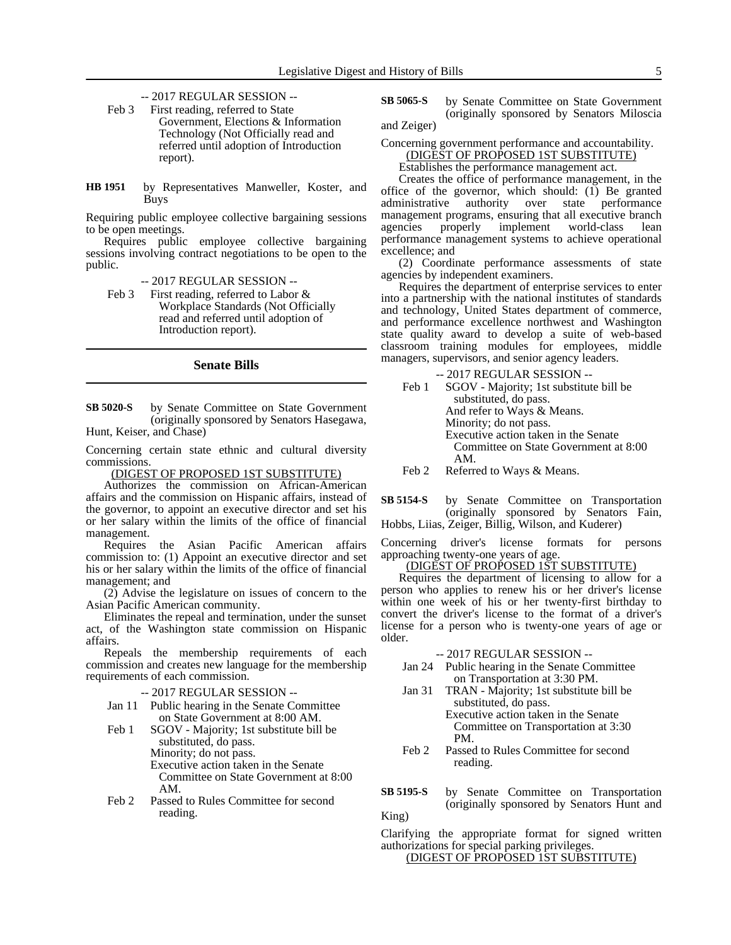-- 2017 REGULAR SESSION --

Feb 3 First reading, referred to State Government, Elections & Information Technology (Not Officially read and referred until adoption of Introduction report).

by Representatives Manweller, Koster, and Buys **HB 1951**

Requiring public employee collective bargaining sessions to be open meetings.

Requires public employee collective bargaining sessions involving contract negotiations to be open to the public.

-- 2017 REGULAR SESSION --

Feb 3 First reading, referred to Labor & Workplace Standards (Not Officially read and referred until adoption of Introduction report).

## **Senate Bills**

by Senate Committee on State Government (originally sponsored by Senators Hasegawa, Hunt, Keiser, and Chase) **SB 5020-S**

Concerning certain state ethnic and cultural diversity commissions.

(DIGEST OF PROPOSED 1ST SUBSTITUTE)

Authorizes the commission on African-American affairs and the commission on Hispanic affairs, instead of the governor, to appoint an executive director and set his or her salary within the limits of the office of financial management.

Requires the Asian Pacific American affairs commission to: (1) Appoint an executive director and set his or her salary within the limits of the office of financial management; and

(2) Advise the legislature on issues of concern to the Asian Pacific American community.

Eliminates the repeal and termination, under the sunset act, of the Washington state commission on Hispanic affairs.

Repeals the membership requirements of each commission and creates new language for the membership requirements of each commission.

-- 2017 REGULAR SESSION --

- Jan 11 Public hearing in the Senate Committee on State Government at 8:00 AM.
- Feb 1 SGOV Majority; 1st substitute bill be substituted, do pass. Minority; do not pass. Executive action taken in the Senate Committee on State Government at 8:00 AM.
- Feb 2 Passed to Rules Committee for second reading.

by Senate Committee on State Government (originally sponsored by Senators Miloscia and Zeiger) **SB 5065-S**

Concerning government performance and accountability. (DIGEST OF PROPOSED 1ST SUBSTITUTE)

Establishes the performance management act.

Creates the office of performance management, in the office of the governor, which should: (1) Be granted administrative authority over state management programs, ensuring that all executive branch<br>agencies properly implement world-class lean agencies properly implement world-class lean performance management systems to achieve operational excellence; and

(2) Coordinate performance assessments of state agencies by independent examiners.

Requires the department of enterprise services to enter into a partnership with the national institutes of standards and technology, United States department of commerce, and performance excellence northwest and Washington state quality award to develop a suite of web-based classroom training modules for employees, middle managers, supervisors, and senior agency leaders.

-- 2017 REGULAR SESSION -- Feb 1 SGOV - Majority; 1st substitute bill be substituted, do pass. And refer to Ways & Means. Minority; do not pass. Executive action taken in the Senate Committee on State Government at 8:00 AM.

Feb 2 Referred to Ways & Means.

by Senate Committee on Transportation (originally sponsored by Senators Fain, Hobbs, Liias, Zeiger, Billig, Wilson, and Kuderer) **SB 5154-S**

Concerning driver's license formats for persons approaching twenty-one years of age.

(DIGEST OF PROPOSED 1ST SUBSTITUTE)

Requires the department of licensing to allow for a person who applies to renew his or her driver's license within one week of his or her twenty-first birthday to convert the driver's license to the format of a driver's license for a person who is twenty-one years of age or older.

-- 2017 REGULAR SESSION --

- Jan 24 Public hearing in the Senate Committee on Transportation at 3:30 PM.
- Jan 31 TRAN Majority; 1st substitute bill be substituted, do pass.

Executive action taken in the Senate Committee on Transportation at 3:30 PM.

Feb 2 Passed to Rules Committee for second reading.

by Senate Committee on Transportation (originally sponsored by Senators Hunt and King) **SB 5195-S**

Clarifying the appropriate format for signed written authorizations for special parking privileges.

(DIGEST OF PROPOSED 1ST SUBSTITUTE)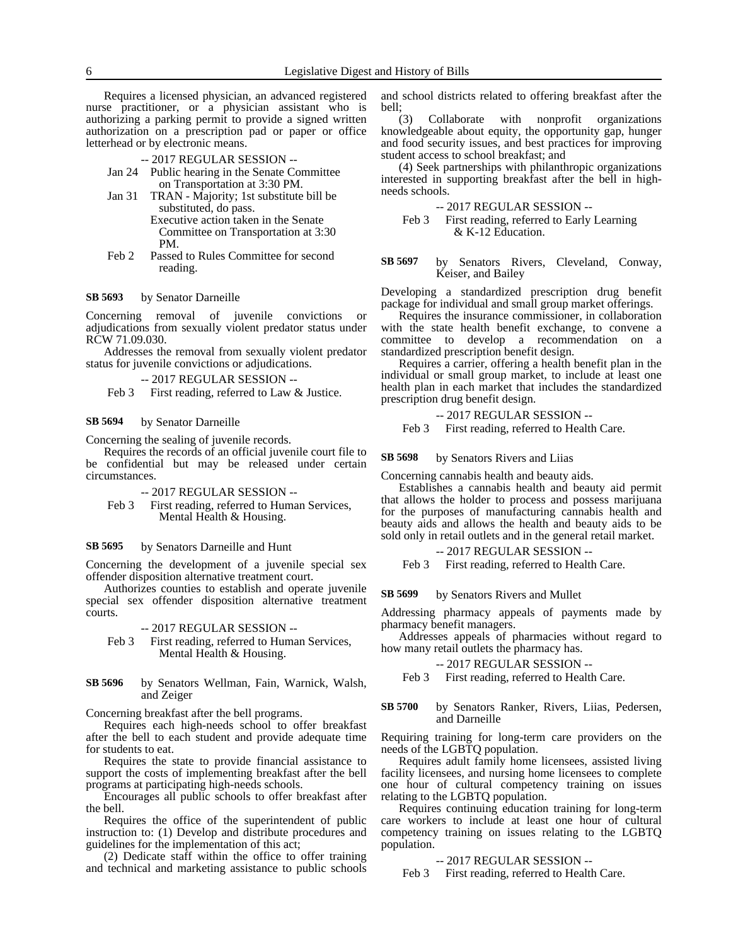Requires a licensed physician, an advanced registered nurse practitioner, or a physician assistant who is authorizing a parking permit to provide a signed written authorization on a prescription pad or paper or office letterhead or by electronic means.

-- 2017 REGULAR SESSION --

- Jan 24 Public hearing in the Senate Committee on Transportation at 3:30 PM.
- Jan 31 TRAN Majority; 1st substitute bill be substituted, do pass. Executive action taken in the Senate Committee on Transportation at 3:30 PM.
- Feb 2 Passed to Rules Committee for second reading.

#### by Senator Darneille **SB 5693**

Concerning removal of juvenile convictions or adjudications from sexually violent predator status under RCW 71.09.030.

Addresses the removal from sexually violent predator status for juvenile convictions or adjudications.

-- 2017 REGULAR SESSION --

Feb 3 First reading, referred to Law & Justice.

by Senator Darneille **SB 5694**

Concerning the sealing of juvenile records.

Requires the records of an official juvenile court file to be confidential but may be released under certain circumstances.

-- 2017 REGULAR SESSION --

Feb 3 First reading, referred to Human Services, Mental Health & Housing.

by Senators Darneille and Hunt **SB 5695**

Concerning the development of a juvenile special sex offender disposition alternative treatment court.

Authorizes counties to establish and operate juvenile special sex offender disposition alternative treatment courts.

-- 2017 REGULAR SESSION --

Feb 3 First reading, referred to Human Services, Mental Health & Housing.

### by Senators Wellman, Fain, Warnick, Walsh, and Zeiger **SB 5696**

Concerning breakfast after the bell programs.

Requires each high-needs school to offer breakfast after the bell to each student and provide adequate time for students to eat.

Requires the state to provide financial assistance to support the costs of implementing breakfast after the bell programs at participating high-needs schools.

Encourages all public schools to offer breakfast after the bell.

Requires the office of the superintendent of public instruction to: (1) Develop and distribute procedures and guidelines for the implementation of this act;

(2) Dedicate staff within the office to offer training and technical and marketing assistance to public schools and school districts related to offering breakfast after the bell;

(3) Collaborate with nonprofit organizations knowledgeable about equity, the opportunity gap, hunger and food security issues, and best practices for improving student access to school breakfast; and

(4) Seek partnerships with philanthropic organizations interested in supporting breakfast after the bell in highneeds schools.

-- 2017 REGULAR SESSION --

Feb 3 First reading, referred to Early Learning & K-12 Education.

by Senators Rivers, Cleveland, Conway, Keiser, and Bailey **SB 5697**

Developing a standardized prescription drug benefit package for individual and small group market offerings.

Requires the insurance commissioner, in collaboration with the state health benefit exchange, to convene a committee to develop a recommendation on a standardized prescription benefit design.

Requires a carrier, offering a health benefit plan in the individual or small group market, to include at least one health plan in each market that includes the standardized prescription drug benefit design.

-- 2017 REGULAR SESSION --

Feb 3 First reading, referred to Health Care.

by Senators Rivers and Liias **SB 5698**

Concerning cannabis health and beauty aids.

Establishes a cannabis health and beauty aid permit that allows the holder to process and possess marijuana for the purposes of manufacturing cannabis health and beauty aids and allows the health and beauty aids to be sold only in retail outlets and in the general retail market.

### -- 2017 REGULAR SESSION --

Feb 3 First reading, referred to Health Care.

by Senators Rivers and Mullet **SB 5699**

Addressing pharmacy appeals of payments made by pharmacy benefit managers.

Addresses appeals of pharmacies without regard to how many retail outlets the pharmacy has.

-- 2017 REGULAR SESSION --

Feb 3 First reading, referred to Health Care.

by Senators Ranker, Rivers, Liias, Pedersen, and Darneille **SB 5700**

Requiring training for long-term care providers on the needs of the LGBTQ population.

Requires adult family home licensees, assisted living facility licensees, and nursing home licensees to complete one hour of cultural competency training on issues relating to the LGBTQ population.

Requires continuing education training for long-term care workers to include at least one hour of cultural competency training on issues relating to the LGBTQ population.

-- 2017 REGULAR SESSION --

Feb 3 First reading, referred to Health Care.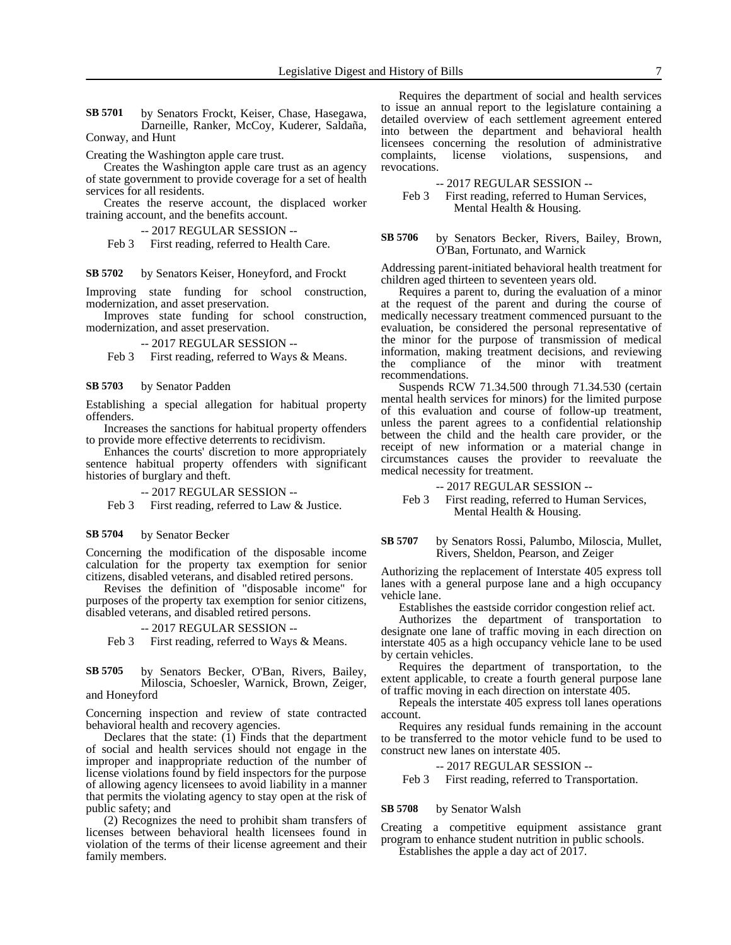by Senators Frockt, Keiser, Chase, Hasegawa, Darneille, Ranker, McCoy, Kuderer, Saldaña, Conway, and Hunt **SB 5701**

Creating the Washington apple care trust.

Creates the Washington apple care trust as an agency of state government to provide coverage for a set of health services for all residents.

Creates the reserve account, the displaced worker training account, and the benefits account.

-- 2017 REGULAR SESSION --

Feb 3 First reading, referred to Health Care.

by Senators Keiser, Honeyford, and Frockt **SB 5702**

Improving state funding for school construction, modernization, and asset preservation.

Improves state funding for school construction, modernization, and asset preservation.

-- 2017 REGULAR SESSION --

Feb 3 First reading, referred to Ways & Means.

#### by Senator Padden **SB 5703**

Establishing a special allegation for habitual property offenders.

Increases the sanctions for habitual property offenders to provide more effective deterrents to recidivism.

Enhances the courts' discretion to more appropriately sentence habitual property offenders with significant histories of burglary and theft.

### -- 2017 REGULAR SESSION --

Feb 3 First reading, referred to Law & Justice.

#### by Senator Becker **SB 5704**

Concerning the modification of the disposable income calculation for the property tax exemption for senior citizens, disabled veterans, and disabled retired persons.

Revises the definition of "disposable income" for purposes of the property tax exemption for senior citizens, disabled veterans, and disabled retired persons.

### -- 2017 REGULAR SESSION --

Feb 3 First reading, referred to Ways & Means.

### by Senators Becker, O'Ban, Rivers, Bailey, Miloscia, Schoesler, Warnick, Brown, Zeiger, and Honeyford **SB 5705**

Concerning inspection and review of state contracted behavioral health and recovery agencies.

Declares that the state:  $(i)$  Finds that the department of social and health services should not engage in the improper and inappropriate reduction of the number of license violations found by field inspectors for the purpose of allowing agency licensees to avoid liability in a manner that permits the violating agency to stay open at the risk of public safety; and

(2) Recognizes the need to prohibit sham transfers of licenses between behavioral health licensees found in violation of the terms of their license agreement and their family members.

Requires the department of social and health services to issue an annual report to the legislature containing a detailed overview of each settlement agreement entered into between the department and behavioral health licensees concerning the resolution of administrative complaints, license violations, suspensions, and revocations.

-- 2017 REGULAR SESSION --

Feb 3 First reading, referred to Human Services, Mental Health & Housing.

### by Senators Becker, Rivers, Bailey, Brown, O'Ban, Fortunato, and Warnick **SB 5706**

Addressing parent-initiated behavioral health treatment for children aged thirteen to seventeen years old.

Requires a parent to, during the evaluation of a minor at the request of the parent and during the course of medically necessary treatment commenced pursuant to the evaluation, be considered the personal representative of the minor for the purpose of transmission of medical information, making treatment decisions, and reviewing the compliance of the minor with treatment recommendations.

Suspends RCW 71.34.500 through 71.34.530 (certain mental health services for minors) for the limited purpose of this evaluation and course of follow-up treatment, unless the parent agrees to a confidential relationship between the child and the health care provider, or the receipt of new information or a material change in circumstances causes the provider to reevaluate the medical necessity for treatment.

-- 2017 REGULAR SESSION --

Feb 3 First reading, referred to Human Services, Mental Health & Housing.

### by Senators Rossi, Palumbo, Miloscia, Mullet, Rivers, Sheldon, Pearson, and Zeiger **SB 5707**

Authorizing the replacement of Interstate 405 express toll lanes with a general purpose lane and a high occupancy vehicle lane.

Establishes the eastside corridor congestion relief act.

Authorizes the department of transportation to designate one lane of traffic moving in each direction on interstate 405 as a high occupancy vehicle lane to be used by certain vehicles.

Requires the department of transportation, to the extent applicable, to create a fourth general purpose lane of traffic moving in each direction on interstate 405.

Repeals the interstate 405 express toll lanes operations account.

Requires any residual funds remaining in the account to be transferred to the motor vehicle fund to be used to construct new lanes on interstate 405.

-- 2017 REGULAR SESSION --

Feb 3 First reading, referred to Transportation.

#### by Senator Walsh **SB 5708**

Creating a competitive equipment assistance grant program to enhance student nutrition in public schools.

Establishes the apple a day act of 2017.